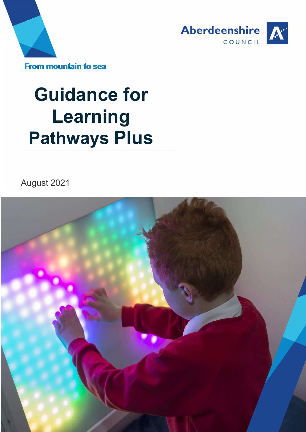



# Guidance for Learning Pathways Plus

August 2021

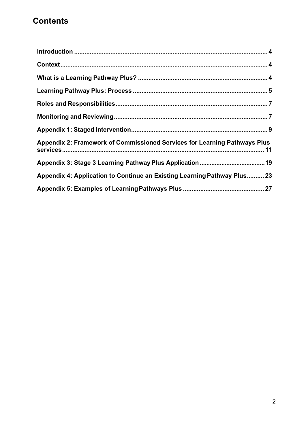| Appendix 2: Framework of Commissioned Services for Learning Pathways Plus |
|---------------------------------------------------------------------------|
|                                                                           |
| Appendix 4: Application to Continue an Existing Learning Pathway Plus 23  |
|                                                                           |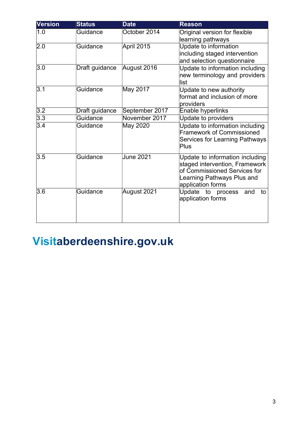| <b>Version</b>   | <b>Status</b>  | <b>Date</b>      | <b>Reason</b>                                                                                                                                        |  |  |
|------------------|----------------|------------------|------------------------------------------------------------------------------------------------------------------------------------------------------|--|--|
| 1.0              | Guidance       | October 2014     | Original version for flexible<br>learning pathways                                                                                                   |  |  |
| 2.0              | Guidance       | April 2015       | Update to information<br>including staged intervention<br>and selection questionnaire                                                                |  |  |
| 3.0              | Draft guidance | August 2016      | Update to information including<br>new terminology and providers<br>llist                                                                            |  |  |
| $\overline{3.1}$ | Guidance       | May 2017         | Update to new authority<br>format and inclusion of more<br>providers                                                                                 |  |  |
| 3.2              | Draft guidance | September 2017   | Enable hyperlinks                                                                                                                                    |  |  |
| 3.3              | Guidance       | November 2017    | Update to providers                                                                                                                                  |  |  |
| 3.4              | Guidance       | May 2020         | Update to information including<br><b>Framework of Commissioned</b><br><b>Services for Learning Pathways</b><br>Plus                                 |  |  |
| 3.5              | Guidance       | <b>June 2021</b> | Update to information including<br>staged intervention, Framework<br>of Commissioned Services for<br>Learning Pathways Plus and<br>application forms |  |  |
| 3.6              | Guidance       | August 2021      | Update to process<br>and<br>to<br>application forms                                                                                                  |  |  |

# Visitaberdeenshire.gov.uk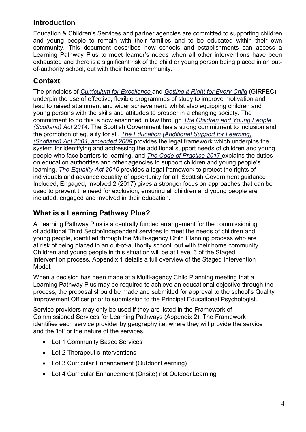# Introduction

Education & Children's Services and partner agencies are committed to supporting children and young people to remain with their families and to be educated within their own community. This document describes how schools and establishments can access a Learning Pathway Plus to meet learner's needs when all other interventions have been exhausted and there is a significant risk of the child or young person being placed in an outof-authority school, out with their home community.

# **Context**

The principles of Curriculum for Excellence and Getting it Right for Every Child (GIRFEC) underpin the use of effective, flexible programmes of study to improve motivation and lead to raised attainment and wider achievement, whilst also equipping children and young persons with the skills and attitudes to prosper in a changing society. The commitment to do this is now enshrined in law through The Children and Young People (Scotland) Act 2014. The Scottish Government has a strong commitment to inclusion and the promotion of equality for all. The Education (Additional Support for Learning) (Scotland) Act 2004, amended 2009 provides the legal framework which underpins the system for identifying and addressing the additional support needs of children and young people who face barriers to learning, and The Code of Practice 2017 explains the duties on education authorities and other agencies to support children and young people's learning. The Equality Act 2010 provides a legal framework to protect the rights of individuals and advance equality of opportunity for all. Scottish Government guidance Included, Engaged, Involved 2 (2017) gives a stronger focus on approaches that can be used to prevent the need for exclusion, ensuring all children and young people are included, engaged and involved in their education.

# What is a Learning Pathway Plus?

A Learning Pathway Plus is a centrally funded arrangement for the commissioning of additional Third Sector/independent services to meet the needs of children and young people, identified through the Multi-agency Child Planning process who are at risk of being placed in an out-of-authority school, out with their home community. Children and young people in this situation will be at Level 3 of the Staged Intervention process. Appendix 1 details a full overview of the Staged Intervention Model.

When a decision has been made at a Multi-agency Child Planning meeting that a Learning Pathway Plus may be required to achieve an educational objective through the process, the proposal should be made and submitted for approval to the school's Quality Improvement Officer prior to submission to the Principal Educational Psychologist.

Service providers may only be used if they are listed in the Framework of Commissioned Services for Learning Pathways (Appendix 2). The Framework identifies each service provider by geography i.e. where they will provide the service and the 'lot' or the nature of the services.

- Lot 1 Community Based Services
- Lot 2 Therapeutic Interventions
- Lot 3 Curricular Enhancement (Outdoor Learning)
- Lot 4 Curricular Enhancement (Onsite) not Outdoor Learning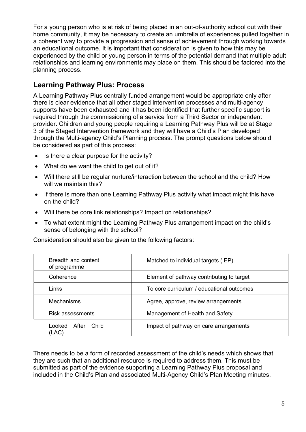For a young person who is at risk of being placed in an out-of-authority school out with their home community, it may be necessary to create an umbrella of experiences pulled together in a coherent way to provide a progression and sense of achievement through working towards an educational outcome. It is important that consideration is given to how this may be experienced by the child or young person in terms of the potential demand that multiple adult relationships and learning environments may place on them. This should be factored into the planning process.

# Learning Pathway Plus: Process

A Learning Pathway Plus centrally funded arrangement would be appropriate only after there is clear evidence that all other staged intervention processes and multi-agency supports have been exhausted and it has been identified that further specific support is required through the commissioning of a service from a Third Sector or independent provider. Children and young people requiring a Learning Pathway Plus will be at Stage 3 of the Staged Intervention framework and they will have a Child's Plan developed through the Multi-agency Child's Planning process. The prompt questions below should be considered as part of this process:

- $\bullet$  Is there a clear purpose for the activity?
- What do we want the child to get out of it?
- Will there still be regular nurture/interaction between the school and the child? How will we maintain this?
- If there is more than one Learning Pathway Plus activity what impact might this have on the child?
- Will there be core link relationships? Impact on relationships?
- To what extent might the Learning Pathway Plus arrangement impact on the child's sense of belonging with the school?

| Breadth and content<br>of programme | Matched to individual targets (IEP)       |
|-------------------------------------|-------------------------------------------|
| Coherence                           | Element of pathway contributing to target |
| <b>Links</b>                        | To core curriculum / educational outcomes |
| <b>Mechanisms</b>                   | Agree, approve, review arrangements       |
| <b>Risk assessments</b>             | Management of Health and Safety           |
| After<br>Looked<br>Child<br>(LAC)   | Impact of pathway on care arrangements    |

Consideration should also be given to the following factors:

There needs to be a form of recorded assessment of the child's needs which shows that they are such that an additional resource is required to address them. This must be submitted as part of the evidence supporting a Learning Pathway Plus proposal and included in the Child's Plan and associated Multi-Agency Child's Plan Meeting minutes.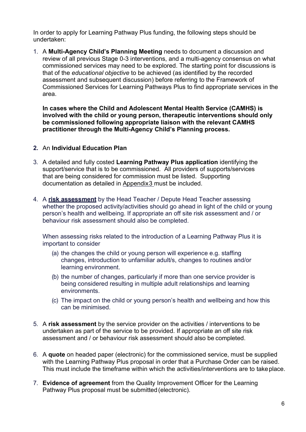In order to apply for Learning Pathway Plus funding, the following steps should be undertaken:

1. A Multi-Agency Child's Planning Meeting needs to document a discussion and review of all previous Stage 0-3 interventions, and a multi-agency consensus on what commissioned services may need to be explored. The starting point for discussions is that of the educational objective to be achieved (as identified by the recorded assessment and subsequent discussion) before referring to the Framework of Commissioned Services for Learning Pathways Plus to find appropriate services in the area.

In cases where the Child and Adolescent Mental Health Service (CAMHS) is involved with the child or young person, therapeutic interventions should only be commissioned following appropriate liaison with the relevant CAMHS practitioner through the Multi-Agency Child's Planning process.

# 2. An Individual Education Plan

- 3. A detailed and fully costed Learning Pathway Plus application identifying the support/service that is to be commissioned. All providers of supports/services that are being considered for commission must be listed. Supporting documentation as detailed in Appendix3 must be included.
- 4. A risk assessment by the Head Teacher / Depute Head Teacher assessing whether the proposed activity/activities should go ahead in light of the child or young person's health and wellbeing. If appropriate an off site risk assessment and / or behaviour risk assessment should also be completed.

When assessing risks related to the introduction of a Learning Pathway Plus it is important to consider

- (a) the changes the child or young person will experience e.g. staffing changes, introduction to unfamiliar adult/s, changes to routines and/or learning environment.
- (b) the number of changes, particularly if more than one service provider is being considered resulting in multiple adult relationships and learning environments.
- (c) The impact on the child or young person's health and wellbeing and how this can be minimised.
- 5. A risk assessment by the service provider on the activities / interventions to be undertaken as part of the service to be provided. If appropriate an off site risk assessment and / or behaviour risk assessment should also be completed.
- 6. A quote on headed paper (electronic) for the commissioned service, must be supplied with the Learning Pathway Plus proposal in order that a Purchase Order can be raised. This must include the timeframe within which the activities/interventions are to take place.
- 7. Evidence of agreement from the Quality Improvement Officer for the Learning Pathway Plus proposal must be submitted (electronic).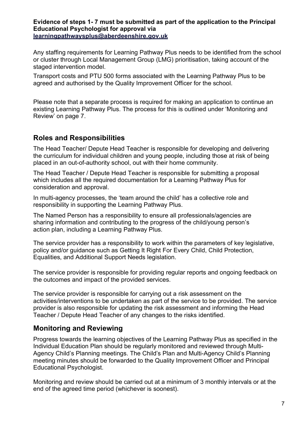#### Evidence of steps 1- 7 must be submitted as part of the application to the Principal Educational Psychologist for approval via learningpathwaysplus@aberdeenshire.gov.uk

Any staffing requirements for Learning Pathway Plus needs to be identified from the school or cluster through Local Management Group (LMG) prioritisation, taking account of the staged intervention model.

Transport costs and PTU 500 forms associated with the Learning Pathway Plus to be agreed and authorised by the Quality Improvement Officer for the school.

Please note that a separate process is required for making an application to continue an existing Learning Pathway Plus. The process for this is outlined under 'Monitoring and Review' on page 7.

# Roles and Responsibilities

The Head Teacher/ Depute Head Teacher is responsible for developing and delivering the curriculum for individual children and young people, including those at risk of being placed in an out-of-authority school, out with their home community.

The Head Teacher / Depute Head Teacher is responsible for submitting a proposal which includes all the required documentation for a Learning Pathway Plus for consideration and approval.

In multi-agency processes, the 'team around the child' has a collective role and responsibility in supporting the Learning Pathway Plus.

The Named Person has a responsibility to ensure all professionals/agencies are sharing information and contributing to the progress of the child/young person's action plan, including a Learning Pathway Plus.

The service provider has a responsibility to work within the parameters of key legislative, policy and/or guidance such as Getting It Right For Every Child, Child Protection, Equalities, and Additional Support Needs legislation.

The service provider is responsible for providing regular reports and ongoing feedback on the outcomes and impact of the provided services.

The service provider is responsible for carrying out a risk assessment on the activities/interventions to be undertaken as part of the service to be provided. The service provider is also responsible for updating the risk assessment and informing the Head Teacher / Depute Head Teacher of any changes to the risks identified.

# Monitoring and Reviewing

Progress towards the learning objectives of the Learning Pathway Plus as specified in the Individual Education Plan should be regularly monitored and reviewed through Multi-Agency Child's Planning meetings. The Child's Plan and Multi-Agency Child's Planning meeting minutes should be forwarded to the Quality Improvement Officer and Principal Educational Psychologist.

Monitoring and review should be carried out at a minimum of 3 monthly intervals or at the end of the agreed time period (whichever is soonest).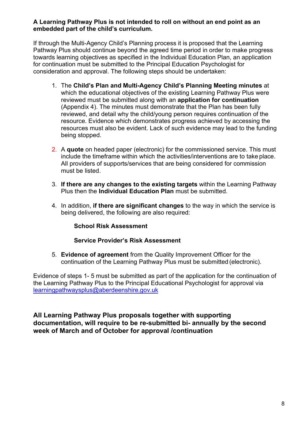#### A Learning Pathway Plus is not intended to roll on without an end point as an embedded part of the child's curriculum.

If through the Multi-Agency Child's Planning process it is proposed that the Learning Pathway Plus should continue beyond the agreed time period in order to make progress towards learning objectives as specified in the Individual Education Plan, an application for continuation must be submitted to the Principal Education Psychologist for consideration and approval. The following steps should be undertaken:

- 1. The Child's Plan and Multi-Agency Child's Planning Meeting minutes at which the educational objectives of the existing Learning Pathway Plus were reviewed must be submitted along with an application for continuation (Appendix 4). The minutes must demonstrate that the Plan has been fully reviewed, and detail why the child/young person requires continuation of the resource. Evidence which demonstrates progress achieved by accessing the resources must also be evident. Lack of such evidence may lead to the funding being stopped.
- 2. A quote on headed paper (electronic) for the commissioned service. This must include the timeframe within which the activities/interventions are to take place. All providers of supports/services that are being considered for commission must be listed.
- 3. If there are any changes to the existing targets within the Learning Pathway Plus then the Individual Education Plan must be submitted.
- 4. In addition, if there are significant changes to the way in which the service is being delivered, the following are also required:

# School Risk Assessment

# Service Provider's Risk Assessment

5. Evidence of agreement from the Quality Improvement Officer for the continuation of the Learning Pathway Plus must be submitted (electronic).

Evidence of steps 1- 5 must be submitted as part of the application for the continuation of the Learning Pathway Plus to the Principal Educational Psychologist for approval via learningpathwaysplus@aberdeenshire.gov.uk

All Learning Pathway Plus proposals together with supporting documentation, will require to be re-submitted bi- annually by the second week of March and of October for approval /continuation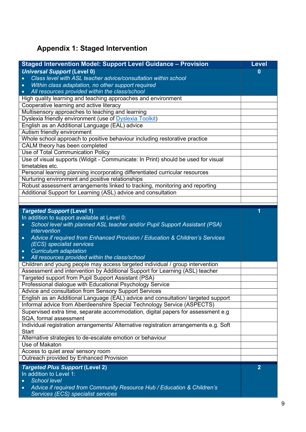# Appendix 1: Staged Intervention

| <b>Staged Intervention Model: Support Level Guidance - Provision</b>                                                       | <b>Level</b>   |
|----------------------------------------------------------------------------------------------------------------------------|----------------|
| <b>Universal Support (Level 0)</b>                                                                                         | $\bf{0}$       |
| Class level with ASL teacher advice/consultation within school                                                             |                |
| Within class adaptation, no other support required<br>$\bullet$                                                            |                |
| All resources provided within the class/school<br>$\bullet$                                                                |                |
| High quality learning and teaching approaches and environment                                                              |                |
| Cooperative learning and active literacy                                                                                   |                |
| Multisensory approaches to teaching and learning                                                                           |                |
| Dyslexia friendly environment (use of Dyslexia Toolkit)                                                                    |                |
| English as an Additional Language (EAL) advice                                                                             |                |
| Autism friendly environment                                                                                                |                |
| Whole school approach to positive behaviour including restorative practice                                                 |                |
| CALM theory has been completed                                                                                             |                |
| Use of Total Communication Policy                                                                                          |                |
| Use of visual supports (Widgit - Communicate: In Print) should be used for visual                                          |                |
| timetables etc.                                                                                                            |                |
| Personal learning planning incorporating differentiated curricular resources                                               |                |
| Nurturing environment and positive relationships                                                                           |                |
| Robust assessment arrangements linked to tracking, monitoring and reporting                                                |                |
| Additional Support for Learning (ASL) advice and consultation                                                              |                |
|                                                                                                                            |                |
|                                                                                                                            | 1              |
| <b>Targeted Support (Level 1)</b>                                                                                          |                |
| In addition to support available at Level 0:<br>School level with planned ASL teacher and/or Pupil Support Assistant (PSA) |                |
| $\bullet$<br>intervention                                                                                                  |                |
| Advice if required from Enhanced Provision / Education & Children's Services<br>$\bullet$                                  |                |
| (ECS) specialist services                                                                                                  |                |
| <b>Curriculum adaptation</b><br>$\bullet$                                                                                  |                |
| All resources provided within the class/school<br>$\bullet$                                                                |                |
| Children and young people may access targeted individual / group intervention                                              |                |
| Assessment and intervention by Additional Support for Learning (ASL) teacher                                               |                |
| Targeted support from Pupil Support Assistant (PSA)                                                                        |                |
| Professional dialogue with Educational Psychology Service                                                                  |                |
| Advice and consultation from Sensory Support Services                                                                      |                |
| English as an Additional Language (EAL) advice and consultation/ targeted support                                          |                |
| Informal advice from Aberdeenshire Special Technology Service (ASPECTS)                                                    |                |
| Supervised extra time, separate accommodation, digital papers for assessment e.g.                                          |                |
| SQA, formal assessment                                                                                                     |                |
| Individual registration arrangements/ Alternative registration arrangements e.g. Soft                                      |                |
| <b>Start</b>                                                                                                               |                |
| Alternative strategies to de-escalate emotion or behaviour                                                                 |                |
| Use of Makaton                                                                                                             |                |
| Access to quiet area/ sensory room                                                                                         |                |
| Outreach provided by Enhanced Provision                                                                                    |                |
| <b>Targeted Plus Support (Level 2)</b>                                                                                     | $\overline{2}$ |
| In addition to Level 1:                                                                                                    |                |
| <b>School level</b><br>$\bullet$                                                                                           |                |
| Advice if required from Community Resource Hub / Education & Children's<br>$\bullet$                                       |                |
| Services (ECS) specialist services                                                                                         |                |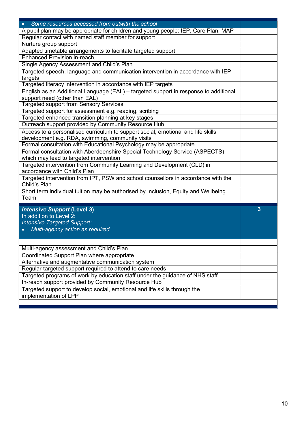| • Some resources accessed from outwith the school                                                 |   |
|---------------------------------------------------------------------------------------------------|---|
| A pupil plan may be appropriate for children and young people: IEP, Care Plan, MAP                |   |
| Regular contact with named staff member for support                                               |   |
| Nurture group support                                                                             |   |
| Adapted timetable arrangements to facilitate targeted support                                     |   |
| Enhanced Provision in-reach,                                                                      |   |
| Single Agency Assessment and Child's Plan                                                         |   |
| Targeted speech, language and communication intervention in accordance with IEP                   |   |
| targets                                                                                           |   |
| Targeted literacy intervention in accordance with IEP targets                                     |   |
| English as an Additional Language (EAL) - targeted support in response to additional              |   |
| support need (other than EAL)                                                                     |   |
| <b>Targeted support from Sensory Services</b>                                                     |   |
| Targeted support for assessment e.g. reading, scribing                                            |   |
| Targeted enhanced transition planning at key stages                                               |   |
| Outreach support provided by Community Resource Hub                                               |   |
| Access to a personalised curriculum to support social, emotional and life skills                  |   |
| development e.g. RDA, swimming, community visits                                                  |   |
| Formal consultation with Educational Psychology may be appropriate                                |   |
| Formal consultation with Aberdeenshire Special Technology Service (ASPECTS)                       |   |
| which may lead to targeted intervention                                                           |   |
| Targeted intervention from Community Learning and Development (CLD) in                            |   |
| accordance with Child's Plan                                                                      |   |
|                                                                                                   |   |
| Targeted intervention from IPT, PSW and school counsellors in accordance with the<br>Child's Plan |   |
|                                                                                                   |   |
| Short term individual tuition may be authorised by Inclusion, Equity and Wellbeing<br>Team        |   |
|                                                                                                   |   |
| <b>Intensive Support (Level 3)</b>                                                                | 3 |
| In addition to Level 2:                                                                           |   |
| <b>Intensive Targeted Support:</b>                                                                |   |
| Multi-agency action as required                                                                   |   |
|                                                                                                   |   |
|                                                                                                   |   |
| Multi-agency assessment and Child's Plan                                                          |   |
| Coordinated Support Plan where appropriate                                                        |   |
| Alternative and augmentative communication system                                                 |   |
| Regular targeted support required to attend to care needs                                         |   |
| Targeted programs of work by education staff under the guidance of NHS staff                      |   |
|                                                                                                   |   |
| In-reach support provided by Community Resource Hub                                               |   |
| Targeted support to develop social, emotional and life skills through the                         |   |
| implementation of LPP                                                                             |   |
|                                                                                                   |   |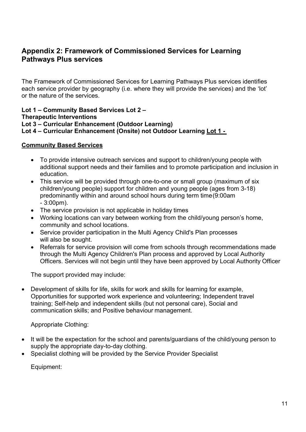# Appendix 2: Framework of Commissioned Services for Learning Pathways Plus services

The Framework of Commissioned Services for Learning Pathways Plus services identifies each service provider by geography (i.e. where they will provide the services) and the 'lot' or the nature of the services.

#### Lot 1 – Community Based Services Lot 2 – Therapeutic Interventions Lot 3 – Curricular Enhancement (Outdoor Learning) Lot 4 – Curricular Enhancement (Onsite) not Outdoor Learning Lot 1 -

#### Community Based Services

- To provide intensive outreach services and support to children/young people with additional support needs and their families and to promote participation and inclusion in education.
- This service will be provided through one-to-one or small group (maximum of six children/young people) support for children and young people (ages from 3-18) predominantly within and around school hours during term time (9:00am - 3:00pm).
- The service provision is not applicable in holiday times
- Working locations can vary between working from the child/young person's home, community and school locations.
- Service provider participation in the Multi Agency Child's Plan processes will also be sought.
- Referrals for service provision will come from schools through recommendations made through the Multi Agency Children's Plan process and approved by Local Authority Officers. Services will not begin until they have been approved by Local Authority Officer

The support provided may include:

 Development of skills for life, skills for work and skills for learning for example, Opportunities for supported work experience and volunteering; Independent travel training; Self-help and independent skills (but not personal care), Social and communication skills; and Positive behaviour management.

Appropriate Clothing:

- It will be the expectation for the school and parents/guardians of the child/young person to supply the appropriate day-to-day clothing.
- Specialist clothing will be provided by the Service Provider Specialist

Equipment: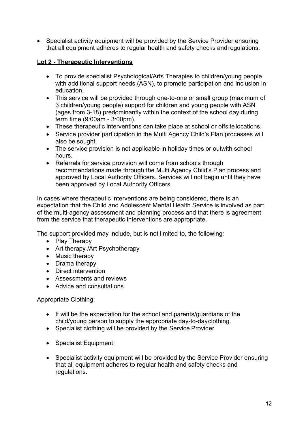• Specialist activity equipment will be provided by the Service Provider ensuring that all equipment adheres to regular health and safety checks and regulations.

# Lot 2 - Therapeutic Interventions

- To provide specialist Psychological/Arts Therapies to children/young people with additional support needs (ASN), to promote participation and inclusion in education.
- This service will be provided through one-to-one or small group (maximum of 3 children/young people) support for children and young people with ASN (ages from 3-18) predominantly within the context of the school day during term time (9:00am - 3:00pm).
- These therapeutic interventions can take place at school or offsite locations.
- Service provider participation in the Multi Agency Child's Plan processes will also be sought.
- The service provision is not applicable in holiday times or outwith school hours.
- Referrals for service provision will come from schools through recommendations made through the Multi Agency Child's Plan process and approved by Local Authority Officers. Services will not begin until they have been approved by Local Authority Officers

In cases where therapeutic interventions are being considered, there is an expectation that the Child and Adolescent Mental Health Service is involved as part of the multi-agency assessment and planning process and that there is agreement from the service that therapeutic interventions are appropriate.

The support provided may include, but is not limited to, the following:

- Play Therapy
- Art therapy / Art Psychotherapy
- Music therapy
- Drama therapy
- Direct intervention
- Assessments and reviews
- Advice and consultations

Appropriate Clothing:

- It will be the expectation for the school and parents/guardians of the child/young person to supply the appropriate day-to-day clothing.
- Specialist clothing will be provided by the Service Provider
- Specialist Equipment:
- Specialist activity equipment will be provided by the Service Provider ensuring that all equipment adheres to regular health and safety checks and regulations.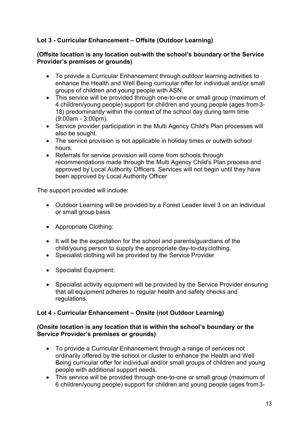# Lot 3 - Curricular Enhancement – Offsite (Outdoor Learning)

#### (Offsite location is any location out-with the school's boundary or the Service Provider's premises or grounds)

- To provide a Curricular Enhancement through outdoor learning activities to enhance the Health and Well Being curricular offer for individual and/or small groups of children and young people with ASN.
- This service will be provided through one-to-one or small group (maximum of 4 children/young people) support for children and young people (ages from 3- 18) predominantly within the context of the school day during term time (9:00am - 3:00pm).
- Service provider participation in the Multi Agency Child's Plan processes will also be sought.
- The service provision is not applicable in holiday times or outwith school hours.
- Referrals for service provision will come from schools through recommendations made through the Multi Agency Child's Plan process and approved by Local Authority Officers. Services will not begin until they have been approved by Local Authority Officer

The support provided will include:

- Outdoor Learning will be provided by a Forest Leader level 3 on an individual or small group basis
- Appropriate Clothing:
- It will be the expectation for the school and parents/guardians of the child/young person to supply the appropriate day-to-day clothing.
- Specialist clothing will be provided by the Service Provider
- Specialist Equipment:
- Specialist activity equipment will be provided by the Service Provider ensuring that all equipment adheres to regular health and safety checks and regulations.

# Lot 4 - Curricular Enhancement – Onsite (not Outdoor Learning)

#### (Onsite location is any location that is within the school's boundary or the Service Provider's premises or grounds)

- To provide a Curricular Enhancement through a range of services not ordinarily offered by the school or cluster to enhance the Health and Well Being curricular offer for individual and/or small groups of children and young people with additional support needs.
- This service will be provided through one-to-one or small group (maximum of 6 children/young people) support for children and young people (ages from 3-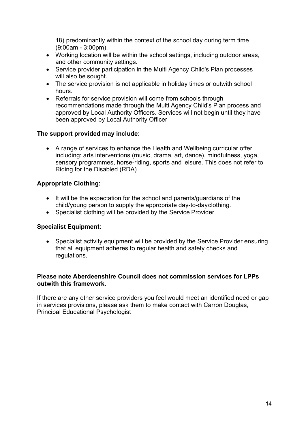18) predominantly within the context of the school day during term time (9:00am - 3:00pm).

- Working location will be within the school settings, including outdoor areas, and other community settings.
- Service provider participation in the Multi Agency Child's Plan processes will also be sought.
- The service provision is not applicable in holiday times or outwith school hours.
- Referrals for service provision will come from schools through recommendations made through the Multi Agency Child's Plan process and approved by Local Authority Officers. Services will not begin until they have been approved by Local Authority Officer

# The support provided may include:

 A range of services to enhance the Health and Wellbeing curricular offer including: arts interventions (music, drama, art, dance), mindfulness, yoga, sensory programmes, horse-riding, sports and leisure. This does not refer to Riding for the Disabled (RDA)

# Appropriate Clothing:

- It will be the expectation for the school and parents/guardians of the child/young person to supply the appropriate day-to-day clothing.
- Specialist clothing will be provided by the Service Provider

# Specialist Equipment:

 Specialist activity equipment will be provided by the Service Provider ensuring that all equipment adheres to regular health and safety checks and regulations.

#### Please note Aberdeenshire Council does not commission services for LPPs outwith this framework.

If there are any other service providers you feel would meet an identified need or gap in services provisions, please ask them to make contact with Carron Douglas, Principal Educational Psychologist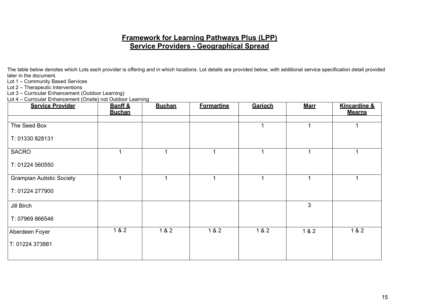# Framework for Learning Pathways Plus (LPP) Service Providers - Geographical Spread

The table below denotes which Lots each provider is offering and in which locations. Lot details are provided below, with additional service specification detail provided later in the document.

Lot 1 – Community Based Services

Lot 2 – Therapeutic Interventions

Lot 3 – Curricular Enhancement (Outdoor Learning)

Lot 4 – Curricular Enhancement (Onsite) not Outdoor Learning

| $\sum_{i=1}^{n}$<br><b>Service Provider</b> | - - - - - - - - - 9<br>Banff &<br><b>Buchan</b> | <b>Buchan</b> | <b>Formartine</b> | <b>Garioch</b> | <u>Marr</u>  | <b>Kincardine &amp;</b><br><b>Mearns</b> |
|---------------------------------------------|-------------------------------------------------|---------------|-------------------|----------------|--------------|------------------------------------------|
| The Seed Box                                |                                                 |               |                   |                |              |                                          |
| T: 01330 828131                             |                                                 |               |                   |                |              |                                          |
| <b>SACRO</b>                                | 1                                               |               | 1                 |                | 1            |                                          |
| T: 01224 560550                             |                                                 |               |                   |                |              |                                          |
| <b>Grampian Autistic Society</b>            | 1                                               |               | 4                 |                | 1            | 1                                        |
| T: 01224 277900                             |                                                 |               |                   |                |              |                                          |
| Jill Birch                                  |                                                 |               |                   |                | $\mathbf{3}$ |                                          |
| T: 07969 866546                             |                                                 |               |                   |                |              |                                          |
| Aberdeen Foyer                              | $182$                                           | 1 & 2         | 1 & 2             | 1 & 2          | 1 & 2        | 1 & 2                                    |
| T: 01224 373881                             |                                                 |               |                   |                |              |                                          |
|                                             |                                                 |               |                   |                |              |                                          |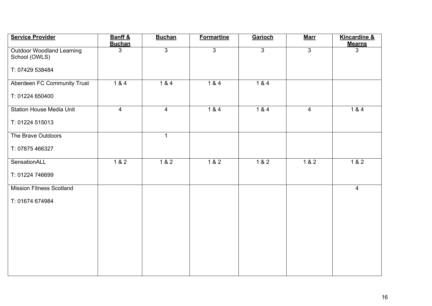| <b>Service Provider</b>                           | Banff &<br><b>Buchan</b> | <b>Buchan</b>  | <b>Formartine</b> | Garioch          | <u>Marr</u>    | <b>Kincardine &amp;</b><br><b>Mearns</b> |
|---------------------------------------------------|--------------------------|----------------|-------------------|------------------|----------------|------------------------------------------|
| <b>Outdoor Woodland Learning</b><br>School (OWLS) | 3                        | $\overline{3}$ | $\overline{3}$    | $\overline{3}$   | $\overline{3}$ | $\mathbf{3}$                             |
| T: 07429 538484                                   |                          |                |                   |                  |                |                                          |
| Aberdeen FC Community Trust                       | $184$                    | $184$          | $184$             | $184$            |                |                                          |
| T: 01224 650400                                   |                          |                |                   |                  |                |                                          |
| <b>Station House Media Unit</b>                   | $\overline{4}$           | $\overline{4}$ | $\overline{184}$  | $\overline{184}$ | $\overline{4}$ | $184$                                    |
| T: 01224 515013                                   |                          |                |                   |                  |                |                                          |
| The Brave Outdoors                                |                          | $\mathbf{1}$   |                   |                  |                |                                          |
| T: 07875 466327                                   |                          |                |                   |                  |                |                                          |
| SensationALL                                      | $\overline{182}$         | $182$          | $\overline{182}$  | $182$            | $182$          | $\overline{182}$                         |
| T: 01224 746699                                   |                          |                |                   |                  |                |                                          |
| <b>Mission Fitness Scotland</b>                   |                          |                |                   |                  |                | $\overline{4}$                           |
| T: 01674 674984                                   |                          |                |                   |                  |                |                                          |
|                                                   |                          |                |                   |                  |                |                                          |
|                                                   |                          |                |                   |                  |                |                                          |
|                                                   |                          |                |                   |                  |                |                                          |
|                                                   |                          |                |                   |                  |                |                                          |
|                                                   |                          |                |                   |                  |                |                                          |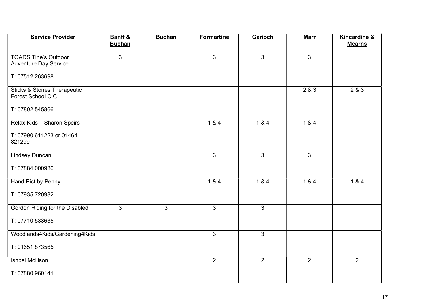| <b>Service Provider</b>                                     | Banff &<br><b>Buchan</b> | <b>Buchan</b>  | <b>Formartine</b> | <b>Garioch</b> | <b>Marr</b>    | <b>Kincardine &amp;</b><br><b>Mearns</b> |
|-------------------------------------------------------------|--------------------------|----------------|-------------------|----------------|----------------|------------------------------------------|
|                                                             |                          |                |                   |                |                |                                          |
| <b>TOADS Tine's Outdoor</b><br><b>Adventure Day Service</b> | 3                        |                | $\mathbf{3}$      | $\mathbf{3}$   | $\overline{3}$ |                                          |
| T: 07512 263698                                             |                          |                |                   |                |                |                                          |
| <b>Sticks &amp; Stones Therapeutic</b><br>Forest School CIC |                          |                |                   |                | 2&83           | 283                                      |
| T: 07802 545866                                             |                          |                |                   |                |                |                                          |
| Relax Kids - Sharon Speirs                                  |                          |                | 184               | 184            | 184            |                                          |
| T: 07990 611223 or 01464<br>821299                          |                          |                |                   |                |                |                                          |
| <b>Lindsey Duncan</b>                                       |                          |                | $\overline{3}$    | $\overline{3}$ | $\mathbf{3}$   |                                          |
| T: 07884 000986                                             |                          |                |                   |                |                |                                          |
| Hand Pict by Penny                                          |                          |                | 1 & 4             | 1 & 4          | $184$          | 1 & 4                                    |
| T: 07935 720982                                             |                          |                |                   |                |                |                                          |
| Gordon Riding for the Disabled                              | $\mathbf{3}$             | $\overline{3}$ | $\mathbf{3}$      | $\mathbf{3}$   |                |                                          |
| T: 07710 533635                                             |                          |                |                   |                |                |                                          |
| Woodlands4Kids/Gardening4Kids                               |                          |                | $\overline{3}$    | $\overline{3}$ |                |                                          |
| T: 01651 873565                                             |                          |                |                   |                |                |                                          |
| <b>Ishbel Mollison</b>                                      |                          |                | $\overline{2}$    | $\overline{2}$ | $\overline{2}$ | $\overline{2}$                           |
| T: 07880 960141                                             |                          |                |                   |                |                |                                          |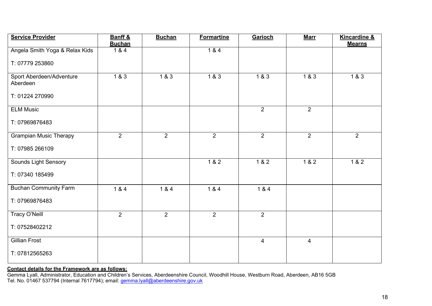| <b>Service Provider</b>              | Banff &<br><b>Buchan</b> | <b>Buchan</b>    | <b>Formartine</b> | Garioch        | <u>Marr</u>    | <b>Kincardine &amp;</b><br><b>Mearns</b> |
|--------------------------------------|--------------------------|------------------|-------------------|----------------|----------------|------------------------------------------|
| Angela Smith Yoga & Relax Kids       | $\overline{184}$         |                  | $184$             |                |                |                                          |
| T: 07779 253860                      |                          |                  |                   |                |                |                                          |
| Sport Aberdeen/Adventure<br>Aberdeen | $\overline{183}$         | $\overline{183}$ | $183$             | $183$          | $183$          | 183                                      |
| T: 01224 270990                      |                          |                  |                   |                |                |                                          |
| <b>ELM Music</b>                     |                          |                  |                   | $\overline{2}$ | $\overline{2}$ |                                          |
| T: 07969876483                       |                          |                  |                   |                |                |                                          |
| <b>Grampian Music Therapy</b>        | $\overline{2}$           | $\overline{2}$   | $\overline{2}$    | $\overline{2}$ | $\overline{2}$ | $\overline{2}$                           |
| T: 07985 266109                      |                          |                  |                   |                |                |                                          |
| Sounds Light Sensory                 |                          |                  | 1 & 2             | $1 & 2$        | 1 & 2          | 1 & 2                                    |
| T: 07340 185499                      |                          |                  |                   |                |                |                                          |
| <b>Buchan Community Farm</b>         | 1 & 4                    | 1 & 4            | 184               | 1 & 4          |                |                                          |
| T: 07969876483                       |                          |                  |                   |                |                |                                          |
| Tracy O'Neill                        | $\overline{2}$           | $\overline{2}$   | $\overline{2}$    | $\overline{2}$ |                |                                          |
| T: 07528402212                       |                          |                  |                   |                |                |                                          |
| <b>Gillian Frost</b>                 |                          |                  |                   | $\overline{4}$ | $\overline{4}$ |                                          |
| T: 07812565263                       |                          |                  |                   |                |                |                                          |

#### Contact details for the Framework are as follows:

Gemma Lyall, Administrator, Education and Children's Services, Aberdeenshire Council, Woodhill House, Westburn Road, Aberdeen, AB16 5GB Tel. No. 01467 537794 (Internal 7617794); email: gemma.lyall@aberdeenshire.gov.uk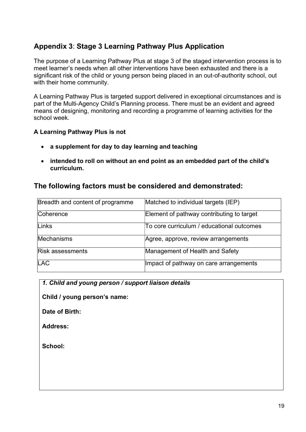# Appendix 3: Stage 3 Learning Pathway Plus Application

The purpose of a Learning Pathway Plus at stage 3 of the staged intervention process is to meet learner's needs when all other interventions have been exhausted and there is a significant risk of the child or young person being placed in an out-of-authority school, out with their home community.

A Learning Pathway Plus is targeted support delivered in exceptional circumstances and is part of the Multi-Agency Child's Planning process. There must be an evident and agreed means of designing, monitoring and recording a programme of learning activities for the school week.

# A Learning Pathway Plus is not

- a supplement for day to day learning and teaching
- intended to roll on without an end point as an embedded part of the child's curriculum.

# The following factors must be considered and demonstrated:

| Breadth and content of programme | Matched to individual targets (IEP)       |
|----------------------------------|-------------------------------------------|
| Coherence                        | Element of pathway contributing to target |
| Links                            | To core curriculum / educational outcomes |
| Mechanisms                       | Agree, approve, review arrangements       |
| <b>Risk assessments</b>          | Management of Health and Safety           |
| <b>LAC</b>                       | Impact of pathway on care arrangements    |

| 1. Child and young person / support liaison details |  |  |  |
|-----------------------------------------------------|--|--|--|

Child / young person's name:

Date of Birth:

Address:

School: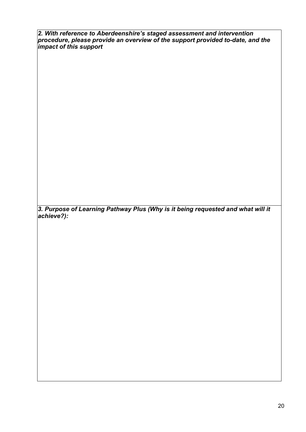2. With reference to Aberdeenshire's staged assessment and intervention procedure, please provide an overview of the support provided to-date, and the impact of this support

3. Purpose of Learning Pathway Plus (Why is it being requested and what will it achieve?):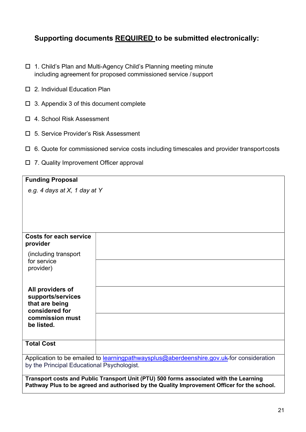# Supporting documents REQUIRED to be submitted electronically:

- 1. Child's Plan and Multi-Agency Child's Planning meeting minute including agreement for proposed commissioned service / support
- □ 2. Individual Education Plan
- $\Box$  3. Appendix 3 of this document complete
- □ 4. School Risk Assessment
- 5. Service Provider's Risk Assessment
- $\Box$  6. Quote for commissioned service costs including timescales and provider transport costs
- 7. Quality Improvement Officer approval

| <b>Funding Proposal</b>                    |                                                                                                                                                                                       |  |  |  |  |  |
|--------------------------------------------|---------------------------------------------------------------------------------------------------------------------------------------------------------------------------------------|--|--|--|--|--|
| e.g. 4 days at $X$ , 1 day at Y            |                                                                                                                                                                                       |  |  |  |  |  |
|                                            |                                                                                                                                                                                       |  |  |  |  |  |
|                                            |                                                                                                                                                                                       |  |  |  |  |  |
|                                            |                                                                                                                                                                                       |  |  |  |  |  |
|                                            |                                                                                                                                                                                       |  |  |  |  |  |
| <b>Costs for each service</b><br>provider  |                                                                                                                                                                                       |  |  |  |  |  |
| (including transport                       |                                                                                                                                                                                       |  |  |  |  |  |
| for service<br>provider)                   |                                                                                                                                                                                       |  |  |  |  |  |
|                                            |                                                                                                                                                                                       |  |  |  |  |  |
| All providers of                           |                                                                                                                                                                                       |  |  |  |  |  |
| supports/services                          |                                                                                                                                                                                       |  |  |  |  |  |
| that are being<br>considered for           |                                                                                                                                                                                       |  |  |  |  |  |
| commission must                            |                                                                                                                                                                                       |  |  |  |  |  |
| be listed.                                 |                                                                                                                                                                                       |  |  |  |  |  |
|                                            |                                                                                                                                                                                       |  |  |  |  |  |
| <b>Total Cost</b>                          |                                                                                                                                                                                       |  |  |  |  |  |
|                                            | Application to be emailed to learningpathwaysplus@aberdeenshire.gov.uk-for consideration                                                                                              |  |  |  |  |  |
| by the Principal Educational Psychologist. |                                                                                                                                                                                       |  |  |  |  |  |
|                                            | Transport costs and Public Transport Unit (PTU) 500 forms associated with the Learning<br>Pathway Plus to be agreed and authorised by the Quality Improvement Officer for the school. |  |  |  |  |  |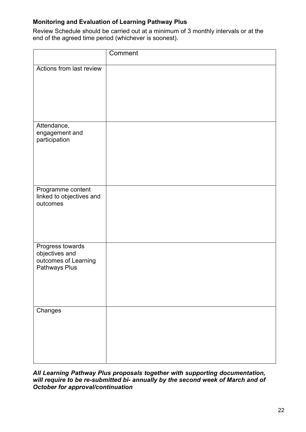# Monitoring and Evaluation of Learning Pathway Plus

Review Schedule should be carried out at a minimum of 3 monthly intervals or at the end of the agreed time period (whichever is soonest).

|                                                                             | Comment |
|-----------------------------------------------------------------------------|---------|
| Actions from last review                                                    |         |
| Attendance,<br>engagement and<br>participation                              |         |
| Programme content<br>linked to objectives and<br>outcomes                   |         |
| Progress towards<br>objectives and<br>outcomes of Learning<br>Pathways Plus |         |
| Changes                                                                     |         |

All Learning Pathway Plus proposals together with supporting documentation, will require to be re-submitted bi- annually by the second week of March and of October for approval/continuation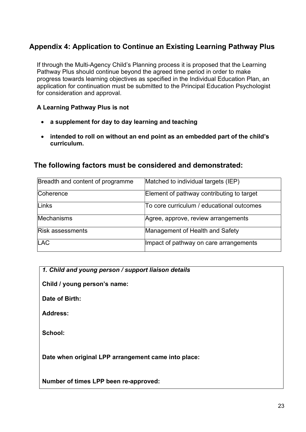# Appendix 4: Application to Continue an Existing Learning Pathway Plus

If through the Multi-Agency Child's Planning process it is proposed that the Learning Pathway Plus should continue beyond the agreed time period in order to make progress towards learning objectives as specified in the Individual Education Plan, an application for continuation must be submitted to the Principal Education Psychologist for consideration and approval.

# A Learning Pathway Plus is not

- a supplement for day to day learning and teaching
- intended to roll on without an end point as an embedded part of the child's curriculum.

# The following factors must be considered and demonstrated:

| Breadth and content of programme | Matched to individual targets (IEP)       |
|----------------------------------|-------------------------------------------|
| Coherence                        | Element of pathway contributing to target |
| Links                            | To core curriculum / educational outcomes |
| Mechanisms                       | Agree, approve, review arrangements       |
| <b>Risk assessments</b>          | Management of Health and Safety           |
| <b>LAC</b>                       | Impact of pathway on care arrangements    |

1. Child and young person / support liaison details

Child / young person's name:

Date of Birth:

Address:

School:

Date when original LPP arrangement came into place:

Number of times LPP been re-approved: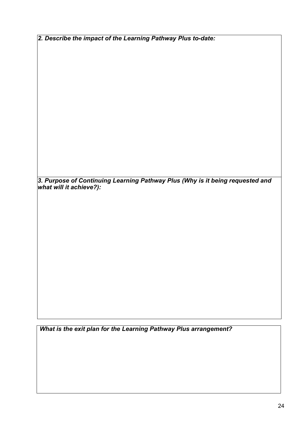2. Describe the impact of the Learning Pathway Plus to-date:

3. Purpose of Continuing Learning Pathway Plus (Why is it being requested and what will it achieve?):

What is the exit plan for the Learning Pathway Plus arrangement?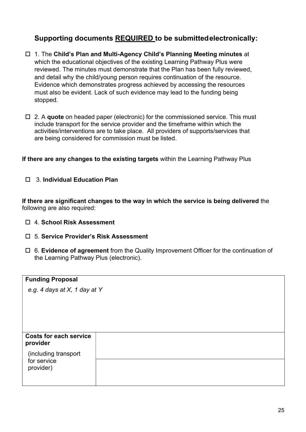# Supporting documents REQUIRED to be submitted electronically:

- 1. The Child's Plan and Multi-Agency Child's Planning Meeting minutes at which the educational objectives of the existing Learning Pathway Plus were reviewed. The minutes must demonstrate that the Plan has been fully reviewed, and detail why the child/young person requires continuation of the resource. Evidence which demonstrates progress achieved by accessing the resources must also be evident. Lack of such evidence may lead to the funding being stopped.
- $\Box$  2. A quote on headed paper (electronic) for the commissioned service. This must include transport for the service provider and the timeframe within which the activities/interventions are to take place. All providers of supports/services that are being considered for commission must be listed.

If there are any changes to the existing targets within the Learning Pathway Plus

□ 3. Individual Education Plan

If there are significant changes to the way in which the service is being delivered the following are also required:

- □ 4. School Risk Assessment
- 5. Service Provider's Risk Assessment
- $\Box$  6. Evidence of agreement from the Quality Improvement Officer for the continuation of the Learning Pathway Plus (electronic).

| <b>Funding Proposal</b>                   |  |
|-------------------------------------------|--|
| e.g. 4 days at X, 1 day at Y              |  |
|                                           |  |
|                                           |  |
|                                           |  |
|                                           |  |
| <b>Costs for each service</b><br>provider |  |
| (including transport                      |  |
| for service<br>provider)                  |  |
|                                           |  |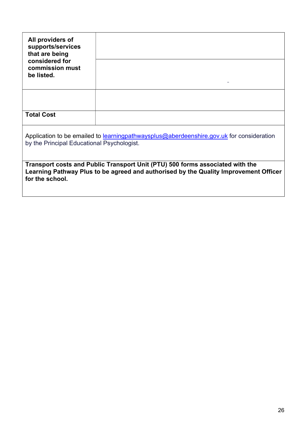| All providers of<br>supports/services<br>that are being<br>considered for<br>commission must<br>be listed.                                                                               |  |  |
|------------------------------------------------------------------------------------------------------------------------------------------------------------------------------------------|--|--|
|                                                                                                                                                                                          |  |  |
| <b>Total Cost</b>                                                                                                                                                                        |  |  |
| Application to be emailed to learning pathwaysplus@aberdeenshire.gov.uk for consideration<br>by the Principal Educational Psychologist.                                                  |  |  |
| Transport costs and Public Transport Unit (PTU) 500 forms associated with the<br>Learning Pathway Plus to be agreed and authorised by the Quality Improvement Officer<br>for the school. |  |  |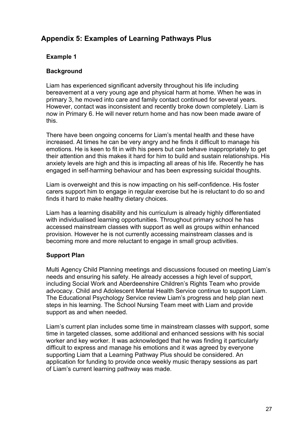# Appendix 5: Examples of Learning Pathways Plus

# Example 1

# **Background**

Liam has experienced significant adversity throughout his life including bereavement at a very young age and physical harm at home. When he was in primary 3, he moved into care and family contact continued for several years. However, contact was inconsistent and recently broke down completely. Liam is now in Primary 6. He will never return home and has now been made aware of this.

There have been ongoing concerns for Liam's mental health and these have increased. At times he can be very angry and he finds it difficult to manage his emotions. He is keen to fit in with his peers but can behave inappropriately to get their attention and this makes it hard for him to build and sustain relationships. His anxiety levels are high and this is impacting all areas of his life. Recently he has engaged in self-harming behaviour and has been expressing suicidal thoughts.

Liam is overweight and this is now impacting on his self-confidence. His foster carers support him to engage in regular exercise but he is reluctant to do so and finds it hard to make healthy dietary choices.

Liam has a learning disability and his curriculum is already highly differentiated with individualised learning opportunities. Throughout primary school he has accessed mainstream classes with support as well as groups within enhanced provision. However he is not currently accessing mainstream classes and is becoming more and more reluctant to engage in small group activities.

# Support Plan

Multi Agency Child Planning meetings and discussions focused on meeting Liam's needs and ensuring his safety. He already accesses a high level of support, including Social Work and Aberdeenshire Children's Rights Team who provide advocacy. Child and Adolescent Mental Health Service continue to support Liam. The Educational Psychology Service review Liam's progress and help plan next steps in his learning. The School Nursing Team meet with Liam and provide support as and when needed.

Liam's current plan includes some time in mainstream classes with support, some time in targeted classes, some additional and enhanced sessions with his social worker and key worker. It was acknowledged that he was finding it particularly difficult to express and manage his emotions and it was agreed by everyone supporting Liam that a Learning Pathway Plus should be considered. An application for funding to provide once weekly music therapy sessions as part of Liam's current learning pathway was made.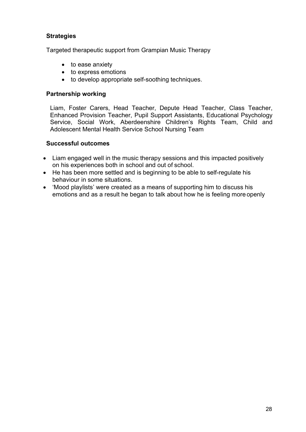# **Strategies**

Targeted therapeutic support from Grampian Music Therapy

- to ease anxiety
- to express emotions
- to develop appropriate self-soothing techniques.

#### Partnership working

Liam, Foster Carers, Head Teacher, Depute Head Teacher, Class Teacher, Enhanced Provision Teacher, Pupil Support Assistants, Educational Psychology Service, Social Work, Aberdeenshire Children's Rights Team, Child and Adolescent Mental Health Service School Nursing Team

#### Successful outcomes

- Liam engaged well in the music therapy sessions and this impacted positively on his experiences both in school and out of school.
- He has been more settled and is beginning to be able to self-regulate his behaviour in some situations.
- 'Mood playlists' were created as a means of supporting him to discuss his emotions and as a result he began to talk about how he is feeling more openly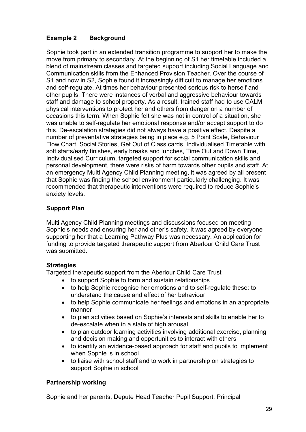# Example 2 Background

Sophie took part in an extended transition programme to support her to make the move from primary to secondary. At the beginning of S1 her timetable included a blend of mainstream classes and targeted support including Social Language and Communication skills from the Enhanced Provision Teacher. Over the course of S1 and now in S2, Sophie found it increasingly difficult to manage her emotions and self-regulate. At times her behaviour presented serious risk to herself and other pupils. There were instances of verbal and aggressive behaviour towards staff and damage to school property. As a result, trained staff had to use CALM physical interventions to protect her and others from danger on a number of occasions this term. When Sophie felt she was not in control of a situation, she was unable to self-regulate her emotional response and/or accept support to do this. De-escalation strategies did not always have a positive effect. Despite a number of preventative strategies being in place e.g. 5 Point Scale, Behaviour Flow Chart, Social Stories, Get Out of Class cards, Individualised Timetable with soft starts/early finishes, early breaks and lunches, Time Out and Down Time, Individualised Curriculum, targeted support for social communication skills and personal development, there were risks of harm towards other pupils and staff. At an emergency Multi Agency Child Planning meeting, it was agreed by all present that Sophie was finding the school environment particularly challenging. It was recommended that therapeutic interventions were required to reduce Sophie's anxiety levels.

# Support Plan

Multi Agency Child Planning meetings and discussions focused on meeting Sophie's needs and ensuring her and other's safety. It was agreed by everyone supporting her that a Learning Pathway Plus was necessary. An application for funding to provide targeted therapeutic support from Aberlour Child Care Trust was submitted.

#### **Strategies**

Targeted therapeutic support from the Aberlour Child Care Trust

- to support Sophie to form and sustain relationships
- to help Sophie recognise her emotions and to self-regulate these; to understand the cause and effect of her behaviour
- to help Sophie communicate her feelings and emotions in an appropriate manner
- to plan activities based on Sophie's interests and skills to enable her to de-escalate when in a state of high arousal.
- to plan outdoor learning activities involving additional exercise, planning and decision making and opportunities to interact with others
- to identify an evidence-based approach for staff and pupils to implement when Sophie is in school
- to liaise with school staff and to work in partnership on strategies to support Sophie in school

# Partnership working

Sophie and her parents, Depute Head Teacher Pupil Support, Principal